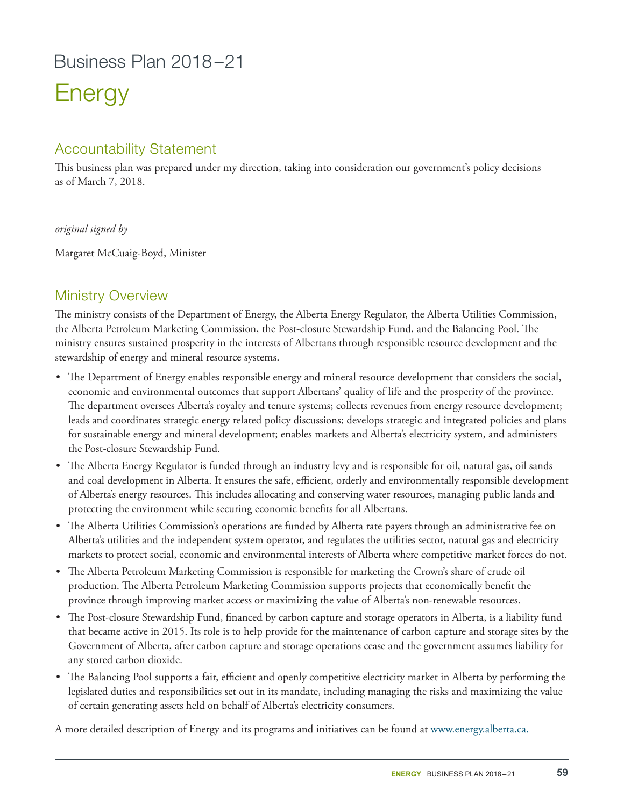## Business Plan 2018–21

# **Energy**

## Accountability Statement

This business plan was prepared under my direction, taking into consideration our government's policy decisions as of March 7, 2018.

#### *original signed by*

Margaret McCuaig-Boyd, Minister

## Ministry Overview

The ministry consists of the Department of Energy, the Alberta Energy Regulator, the Alberta Utilities Commission, the Alberta Petroleum Marketing Commission, the Post-closure Stewardship Fund, and the Balancing Pool. The ministry ensures sustained prosperity in the interests of Albertans through responsible resource development and the stewardship of energy and mineral resource systems.

- The Department of Energy enables responsible energy and mineral resource development that considers the social, economic and environmental outcomes that support Albertans' quality of life and the prosperity of the province. The department oversees Alberta's royalty and tenure systems; collects revenues from energy resource development; leads and coordinates strategic energy related policy discussions; develops strategic and integrated policies and plans for sustainable energy and mineral development; enables markets and Alberta's electricity system, and administers the Post-closure Stewardship Fund.
- The Alberta Energy Regulator is funded through an industry levy and is responsible for oil, natural gas, oil sands and coal development in Alberta. It ensures the safe, efficient, orderly and environmentally responsible development of Alberta's energy resources. This includes allocating and conserving water resources, managing public lands and protecting the environment while securing economic benefits for all Albertans.
- The Alberta Utilities Commission's operations are funded by Alberta rate payers through an administrative fee on Alberta's utilities and the independent system operator, and regulates the utilities sector, natural gas and electricity markets to protect social, economic and environmental interests of Alberta where competitive market forces do not.
- The Alberta Petroleum Marketing Commission is responsible for marketing the Crown's share of crude oil production. The Alberta Petroleum Marketing Commission supports projects that economically benefit the province through improving market access or maximizing the value of Alberta's non-renewable resources.
- The Post-closure Stewardship Fund, financed by carbon capture and storage operators in Alberta, is a liability fund that became active in 2015. Its role is to help provide for the maintenance of carbon capture and storage sites by the Government of Alberta, after carbon capture and storage operations cease and the government assumes liability for any stored carbon dioxide.
- The Balancing Pool supports a fair, efficient and openly competitive electricity market in Alberta by performing the legislated duties and responsibilities set out in its mandate, including managing the risks and maximizing the value of certain generating assets held on behalf of Alberta's electricity consumers.

A more detailed description of Energy and its programs and initiatives can be found at www.energy.alberta.ca.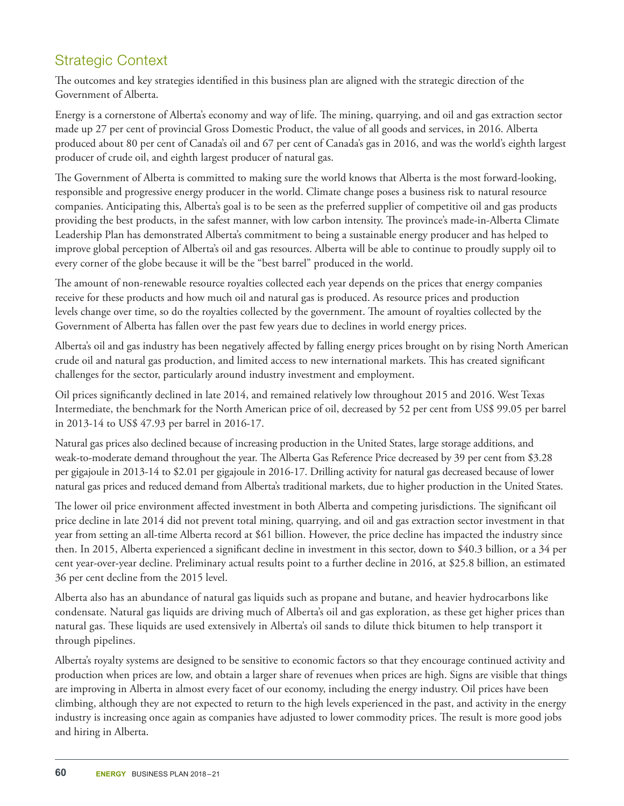## Strategic Context

The outcomes and key strategies identified in this business plan are aligned with the strategic direction of the Government of Alberta.

Energy is a cornerstone of Alberta's economy and way of life. The mining, quarrying, and oil and gas extraction sector made up 27 per cent of provincial Gross Domestic Product, the value of all goods and services, in 2016. Alberta produced about 80 per cent of Canada's oil and 67 per cent of Canada's gas in 2016, and was the world's eighth largest producer of crude oil, and eighth largest producer of natural gas.

The Government of Alberta is committed to making sure the world knows that Alberta is the most forward-looking, responsible and progressive energy producer in the world. Climate change poses a business risk to natural resource companies. Anticipating this, Alberta's goal is to be seen as the preferred supplier of competitive oil and gas products providing the best products, in the safest manner, with low carbon intensity. The province's made-in-Alberta Climate Leadership Plan has demonstrated Alberta's commitment to being a sustainable energy producer and has helped to improve global perception of Alberta's oil and gas resources. Alberta will be able to continue to proudly supply oil to every corner of the globe because it will be the "best barrel" produced in the world.

The amount of non-renewable resource royalties collected each year depends on the prices that energy companies receive for these products and how much oil and natural gas is produced. As resource prices and production levels change over time, so do the royalties collected by the government. The amount of royalties collected by the Government of Alberta has fallen over the past few years due to declines in world energy prices.

Alberta's oil and gas industry has been negatively affected by falling energy prices brought on by rising North American crude oil and natural gas production, and limited access to new international markets. This has created significant challenges for the sector, particularly around industry investment and employment.

Oil prices significantly declined in late 2014, and remained relatively low throughout 2015 and 2016. West Texas Intermediate, the benchmark for the North American price of oil, decreased by 52 per cent from US\$ 99.05 per barrel in 2013-14 to US\$ 47.93 per barrel in 2016-17.

Natural gas prices also declined because of increasing production in the United States, large storage additions, and weak-to-moderate demand throughout the year. The Alberta Gas Reference Price decreased by 39 per cent from \$3.28 per gigajoule in 2013-14 to \$2.01 per gigajoule in 2016-17. Drilling activity for natural gas decreased because of lower natural gas prices and reduced demand from Alberta's traditional markets, due to higher production in the United States.

The lower oil price environment affected investment in both Alberta and competing jurisdictions. The significant oil price decline in late 2014 did not prevent total mining, quarrying, and oil and gas extraction sector investment in that year from setting an all-time Alberta record at \$61 billion. However, the price decline has impacted the industry since then. In 2015, Alberta experienced a significant decline in investment in this sector, down to \$40.3 billion, or a 34 per cent year-over-year decline. Preliminary actual results point to a further decline in 2016, at \$25.8 billion, an estimated 36 per cent decline from the 2015 level.

Alberta also has an abundance of natural gas liquids such as propane and butane, and heavier hydrocarbons like condensate. Natural gas liquids are driving much of Alberta's oil and gas exploration, as these get higher prices than natural gas. These liquids are used extensively in Alberta's oil sands to dilute thick bitumen to help transport it through pipelines.

Alberta's royalty systems are designed to be sensitive to economic factors so that they encourage continued activity and production when prices are low, and obtain a larger share of revenues when prices are high. Signs are visible that things are improving in Alberta in almost every facet of our economy, including the energy industry. Oil prices have been climbing, although they are not expected to return to the high levels experienced in the past, and activity in the energy industry is increasing once again as companies have adjusted to lower commodity prices. The result is more good jobs and hiring in Alberta.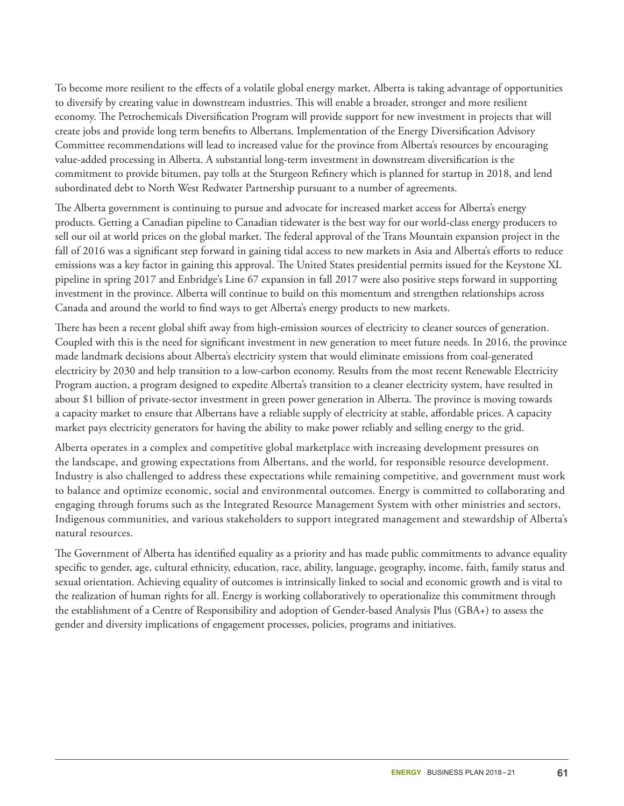To become more resilient to the effects of a volatile global energy market, Alberta is taking advantage of opportunities to diversify by creating value in downstream industries. This will enable a broader, stronger and more resilient economy. The Petrochemicals Diversification Program will provide support for new investment in projects that will create jobs and provide long term benefits to Albertans. Implementation of the Energy Diversification Advisory Committee recommendations will lead to increased value for the province from Alberta's resources by encouraging value-added processing in Alberta. A substantial long-term investment in downstream diversification is the commitment to provide bitumen, pay tolls at the Sturgeon Refinery which is planned for startup in 2018, and lend subordinated debt to North West Redwater Partnership pursuant to a number of agreements.

The Alberta government is continuing to pursue and advocate for increased market access for Alberta's energy products. Getting a Canadian pipeline to Canadian tidewater is the best way for our world-class energy producers to sell our oil at world prices on the global market. The federal approval of the Trans Mountain expansion project in the fall of 2016 was a significant step forward in gaining tidal access to new markets in Asia and Alberta's efforts to reduce emissions was a key factor in gaining this approval. The United States presidential permits issued for the Keystone XL pipeline in spring 2017 and Enbridge's Line 67 expansion in fall 2017 were also positive steps forward in supporting investment in the province. Alberta will continue to build on this momentum and strengthen relationships across Canada and around the world to find ways to get Alberta's energy products to new markets.

There has been a recent global shift away from high-emission sources of electricity to cleaner sources of generation. Coupled with this is the need for significant investment in new generation to meet future needs. In 2016, the province made landmark decisions about Alberta's electricity system that would eliminate emissions from coal-generated electricity by 2030 and help transition to a low-carbon economy. Results from the most recent Renewable Electricity Program auction, a program designed to expedite Alberta's transition to a cleaner electricity system, have resulted in about \$1 billion of private-sector investment in green power generation in Alberta. The province is moving towards a capacity market to ensure that Albertans have a reliable supply of electricity at stable, affordable prices. A capacity market pays electricity generators for having the ability to make power reliably and selling energy to the grid.

Alberta operates in a complex and competitive global marketplace with increasing development pressures on the landscape, and growing expectations from Albertans, and the world, for responsible resource development. Industry is also challenged to address these expectations while remaining competitive, and government must work to balance and optimize economic, social and environmental outcomes. Energy is committed to collaborating and engaging through forums such as the Integrated Resource Management System with other ministries and sectors, Indigenous communities, and various stakeholders to support integrated management and stewardship of Alberta's natural resources.

The Government of Alberta has identified equality as a priority and has made public commitments to advance equality specific to gender, age, cultural ethnicity, education, race, ability, language, geography, income, faith, family status and sexual orientation. Achieving equality of outcomes is intrinsically linked to social and economic growth and is vital to the realization of human rights for all. Energy is working collaboratively to operationalize this commitment through the establishment of a Centre of Responsibility and adoption of Gender-based Analysis Plus (GBA+) to assess the gender and diversity implications of engagement processes, policies, programs and initiatives.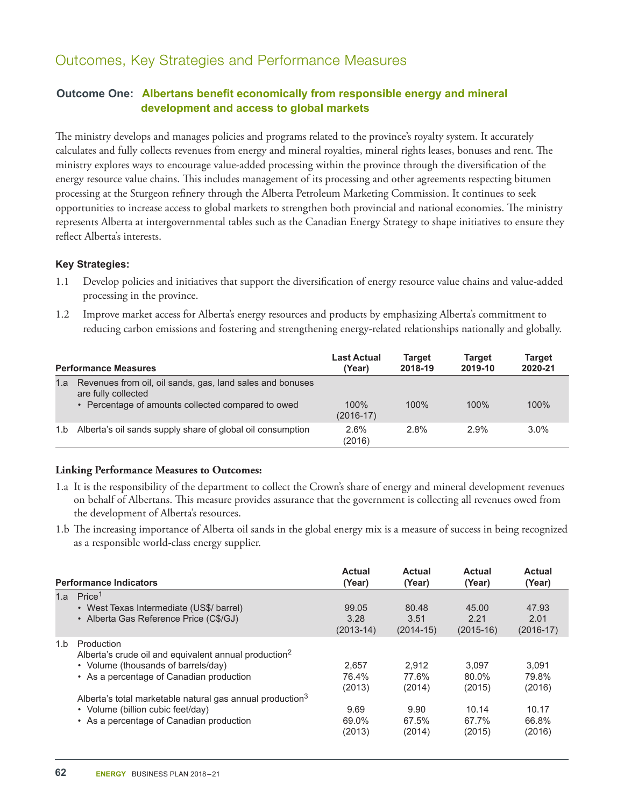## Outcomes, Key Strategies and Performance Measures

#### **Outcome One: Albertans benefit economically from responsible energy and mineral development and access to global markets**

The ministry develops and manages policies and programs related to the province's royalty system. It accurately calculates and fully collects revenues from energy and mineral royalties, mineral rights leases, bonuses and rent. The ministry explores ways to encourage value-added processing within the province through the diversification of the energy resource value chains. This includes management of its processing and other agreements respecting bitumen processing at the Sturgeon refinery through the Alberta Petroleum Marketing Commission. It continues to seek opportunities to increase access to global markets to strengthen both provincial and national economies. The ministry represents Alberta at intergovernmental tables such as the Canadian Energy Strategy to shape initiatives to ensure they reflect Alberta's interests.

#### **Key Strategies:**

- 1.1 Develop policies and initiatives that support the diversification of energy resource value chains and value-added processing in the province.
- 1.2 Improve market access for Alberta's energy resources and products by emphasizing Alberta's commitment to reducing carbon emissions and fostering and strengthening energy-related relationships nationally and globally.

| <b>Performance Measures</b> |                                                                                                                                        | Last Actual<br>(Year)  | Target<br>2018-19 | <b>Target</b><br>2019-10 | Target<br>2020-21 |
|-----------------------------|----------------------------------------------------------------------------------------------------------------------------------------|------------------------|-------------------|--------------------------|-------------------|
| 1.a                         | Revenues from oil, oil sands, gas, land sales and bonuses<br>are fully collected<br>• Percentage of amounts collected compared to owed | $100\%$<br>$(2016-17)$ | $100\%$           | $100\%$                  | 100%              |
| 1.b                         | Alberta's oil sands supply share of global oil consumption                                                                             | 2.6%<br>(2016)         | 2.8%              | 2.9%                     | 3.0%              |

#### **Linking Performance Measures to Outcomes:**

- 1.a It is the responsibility of the department to collect the Crown's share of energy and mineral development revenues on behalf of Albertans. This measure provides assurance that the government is collecting all revenues owed from the development of Alberta's resources.
- 1.b The increasing importance of Alberta oil sands in the global energy mix is a measure of success in being recognized as a responsible world-class energy supplier.

|     | <b>Performance Indicators</b>                                                   | Actual<br>(Year) | <b>Actual</b><br>(Year) | Actual<br>(Year) | Actual<br>(Year) |
|-----|---------------------------------------------------------------------------------|------------------|-------------------------|------------------|------------------|
| 1.a | Price <sup>1</sup>                                                              |                  |                         |                  |                  |
|     | • West Texas Intermediate (US\$/ barrel)                                        | 99.05            | 80.48                   | 45.00            | 47.93            |
|     | • Alberta Gas Reference Price (C\$/GJ)                                          | 3.28             | 3.51                    | 2.21             | 2.01             |
|     |                                                                                 | $(2013-14)$      | $(2014-15)$             | $(2015-16)$      | $(2016-17)$      |
| 1.b | Production<br>Alberta's crude oil and equivalent annual production <sup>2</sup> |                  |                         |                  |                  |
|     | • Volume (thousands of barrels/day)                                             | 2.657            | 2.912                   | 3.097            | 3.091            |
|     | • As a percentage of Canadian production                                        | 76.4%            | 77.6%                   | 80.0%            | 79.8%            |
|     |                                                                                 | (2013)           | (2014)                  | (2015)           | (2016)           |
|     | Alberta's total marketable natural gas annual production <sup>3</sup>           |                  |                         |                  |                  |
|     | • Volume (billion cubic feet/day)                                               | 9.69             | 9.90                    | 10.14            | 10.17            |
|     | • As a percentage of Canadian production                                        | 69.0%            | 67.5%                   | 67.7%            | 66.8%            |
|     |                                                                                 | (2013)           | (2014)                  | (2015)           | (2016)           |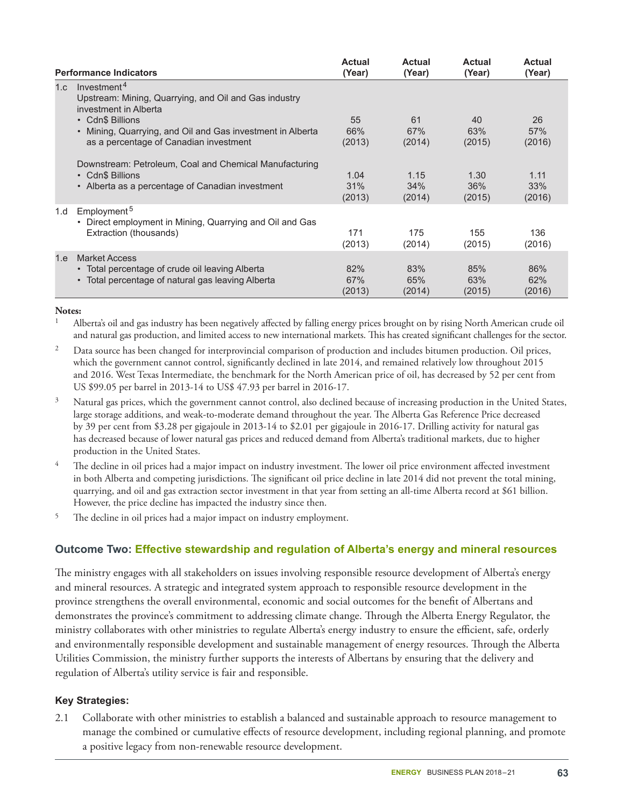|     |                                                                                                                                     | <b>Actual</b>         | <b>Actual</b>         | <b>Actual</b>         | <b>Actual</b>         |
|-----|-------------------------------------------------------------------------------------------------------------------------------------|-----------------------|-----------------------|-----------------------|-----------------------|
|     | <b>Performance Indicators</b>                                                                                                       | (Year)                | (Year)                | (Year)                | (Year)                |
| 1.c | Investment <sup>4</sup><br>Upstream: Mining, Quarrying, and Oil and Gas industry<br>investment in Alberta                           |                       |                       |                       |                       |
|     | • Cdn\$ Billions<br>Mining, Quarrying, and Oil and Gas investment in Alberta<br>$\bullet$<br>as a percentage of Canadian investment | 55<br>66%<br>(2013)   | 61<br>67%<br>(2014)   | 40<br>63%<br>(2015)   | 26<br>57%<br>(2016)   |
|     | Downstream: Petroleum, Coal and Chemical Manufacturing<br>• Cdn\$ Billions<br>• Alberta as a percentage of Canadian investment      | 1.04<br>31%<br>(2013) | 1.15<br>34%<br>(2014) | 1.30<br>36%<br>(2015) | 1.11<br>33%<br>(2016) |
| 1.d | Employment <sup>5</sup><br>• Direct employment in Mining, Quarrying and Oil and Gas<br>Extraction (thousands)                       | 171<br>(2013)         | 175<br>(2014)         | 155<br>(2015)         | 136<br>(2016)         |
| 1.e | <b>Market Access</b><br>• Total percentage of crude oil leaving Alberta<br>• Total percentage of natural gas leaving Alberta        | 82%<br>67%<br>(2013)  | 83%<br>65%<br>(2014)  | 85%<br>63%<br>(2015)  | 86%<br>62%<br>(2016)  |

#### **Notes:**

<sup>1</sup> Alberta's oil and gas industry has been negatively affected by falling energy prices brought on by rising North American crude oil and natural gas production, and limited access to new international markets. This has created significant challenges for the sector.

<sup>2</sup> Data source has been changed for interprovincial comparison of production and includes bitumen production. Oil prices, which the government cannot control, significantly declined in late 2014, and remained relatively low throughout 2015 and 2016. West Texas Intermediate, the benchmark for the North American price of oil, has decreased by 52 per cent from US \$99.05 per barrel in 2013-14 to US\$ 47.93 per barrel in 2016-17.

<sup>3</sup> Natural gas prices, which the government cannot control, also declined because of increasing production in the United States, large storage additions, and weak-to-moderate demand throughout the year. The Alberta Gas Reference Price decreased by 39 per cent from \$3.28 per gigajoule in 2013-14 to \$2.01 per gigajoule in 2016-17. Drilling activity for natural gas has decreased because of lower natural gas prices and reduced demand from Alberta's traditional markets, due to higher production in the United States.

- <sup>4</sup> The decline in oil prices had a major impact on industry investment. The lower oil price environment affected investment in both Alberta and competing jurisdictions. The significant oil price decline in late 2014 did not prevent the total mining, quarrying, and oil and gas extraction sector investment in that year from setting an all-time Alberta record at \$61 billion. However, the price decline has impacted the industry since then.
- <sup>5</sup> The decline in oil prices had a major impact on industry employment.

#### **Outcome Two: Effective stewardship and regulation of Alberta's energy and mineral resources**

The ministry engages with all stakeholders on issues involving responsible resource development of Alberta's energy and mineral resources. A strategic and integrated system approach to responsible resource development in the province strengthens the overall environmental, economic and social outcomes for the benefit of Albertans and demonstrates the province's commitment to addressing climate change. Through the Alberta Energy Regulator, the ministry collaborates with other ministries to regulate Alberta's energy industry to ensure the efficient, safe, orderly and environmentally responsible development and sustainable management of energy resources. Through the Alberta Utilities Commission, the ministry further supports the interests of Albertans by ensuring that the delivery and regulation of Alberta's utility service is fair and responsible.

#### **Key Strategies:**

2.1 Collaborate with other ministries to establish a balanced and sustainable approach to resource management to manage the combined or cumulative effects of resource development, including regional planning, and promote a positive legacy from non-renewable resource development.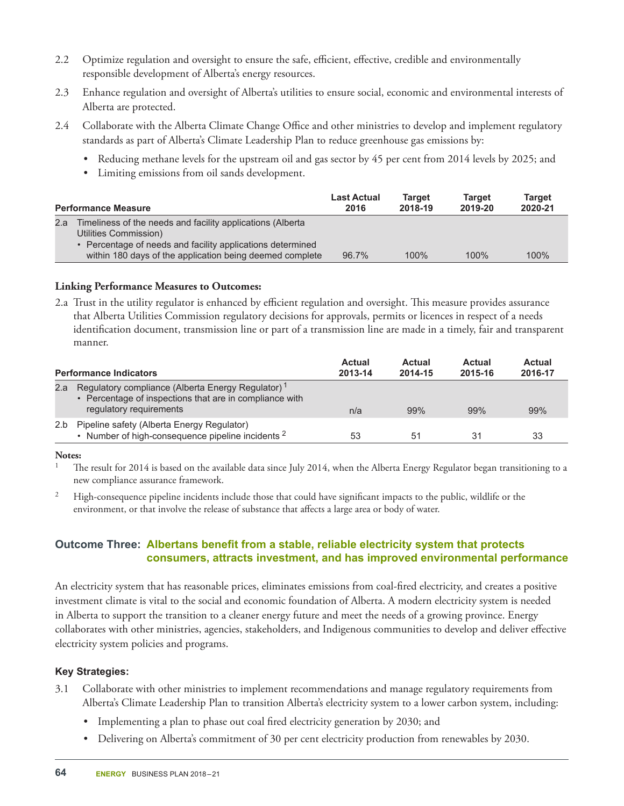- 2.2 Optimize regulation and oversight to ensure the safe, efficient, effective, credible and environmentally responsible development of Alberta's energy resources.
- 2.3 Enhance regulation and oversight of Alberta's utilities to ensure social, economic and environmental interests of Alberta are protected.
- 2.4 Collaborate with the Alberta Climate Change Office and other ministries to develop and implement regulatory standards as part of Alberta's Climate Leadership Plan to reduce greenhouse gas emissions by:
	- Reducing methane levels for the upstream oil and gas sector by 45 per cent from 2014 levels by 2025; and
	- Limiting emissions from oil sands development.

| <b>Performance Measure</b> |                                                                                                                                                                                                             | <b>Last Actual</b> | <b>Target</b> | <b>Target</b> | Target  |
|----------------------------|-------------------------------------------------------------------------------------------------------------------------------------------------------------------------------------------------------------|--------------------|---------------|---------------|---------|
|                            |                                                                                                                                                                                                             | 2016               | 2018-19       | 2019-20       | 2020-21 |
| 2.a                        | Timeliness of the needs and facility applications (Alberta<br>Utilities Commission)<br>Percentage of needs and facility applications determined<br>within 180 days of the application being deemed complete | 96.7%              | 100%          | $100\%$       | 100%    |

#### **Linking Performance Measures to Outcomes:**

2.a Trust in the utility regulator is enhanced by efficient regulation and oversight. This measure provides assurance that Alberta Utilities Commission regulatory decisions for approvals, permits or licences in respect of a needs identification document, transmission line or part of a transmission line are made in a timely, fair and transparent manner.

| <b>Performance Indicators</b> |                                                                                                                                                     | Actual<br>2013-14 | Actual<br>2014-15 | Actual<br>2015-16 | Actual<br>2016-17 |
|-------------------------------|-----------------------------------------------------------------------------------------------------------------------------------------------------|-------------------|-------------------|-------------------|-------------------|
| 2.a                           | Regulatory compliance (Alberta Energy Regulator) <sup>1</sup><br>• Percentage of inspections that are in compliance with<br>regulatory requirements | n/a               | 99%               | 99%               | 99%               |
| 2.b                           | Pipeline safety (Alberta Energy Regulator)<br>Number of high-consequence pipeline incidents <sup>2</sup>                                            | 53                | 51                | 31                | 33                |

#### **Notes:**

<sup>1</sup> The result for 2014 is based on the available data since July 2014, when the Alberta Energy Regulator began transitioning to a new compliance assurance framework.

<sup>2</sup> High-consequence pipeline incidents include those that could have significant impacts to the public, wildlife or the environment, or that involve the release of substance that affects a large area or body of water.

#### **Outcome Three: Albertans benefit from a stable, reliable electricity system that protects consumers, attracts investment, and has improved environmental performance**

An electricity system that has reasonable prices, eliminates emissions from coal-fired electricity, and creates a positive investment climate is vital to the social and economic foundation of Alberta. A modern electricity system is needed in Alberta to support the transition to a cleaner energy future and meet the needs of a growing province. Energy collaborates with other ministries, agencies, stakeholders, and Indigenous communities to develop and deliver effective electricity system policies and programs.

#### **Key Strategies:**

- 3.1 Collaborate with other ministries to implement recommendations and manage regulatory requirements from Alberta's Climate Leadership Plan to transition Alberta's electricity system to a lower carbon system, including:
	- Implementing a plan to phase out coal fired electricity generation by 2030; and
	- Delivering on Alberta's commitment of 30 per cent electricity production from renewables by 2030.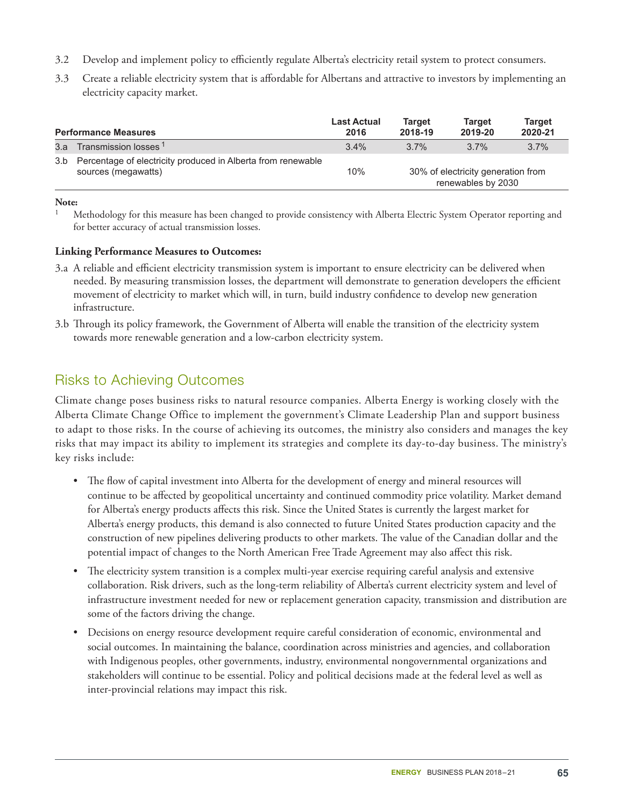- 3.2 Develop and implement policy to efficiently regulate Alberta's electricity retail system to protect consumers.
- 3.3 Create a reliable electricity system that is affordable for Albertans and attractive to investors by implementing an electricity capacity market.

|     | <b>Performance Measures</b>                                                         | <b>Last Actual</b><br>2016 | <b>Target</b><br>2018-19 | <b>Target</b><br>2019-20                                 | <b>Target</b><br>2020-21 |
|-----|-------------------------------------------------------------------------------------|----------------------------|--------------------------|----------------------------------------------------------|--------------------------|
| 3.a | Transmission losses 1                                                               | 3.4%                       | $3.7\%$                  | $3.7\%$                                                  | 3.7%                     |
| 3.b | Percentage of electricity produced in Alberta from renewable<br>sources (megawatts) | 10%                        |                          | 30% of electricity generation from<br>renewables by 2030 |                          |

#### **Note:**

#### **Linking Performance Measures to Outcomes:**

- 3.a A reliable and efficient electricity transmission system is important to ensure electricity can be delivered when needed. By measuring transmission losses, the department will demonstrate to generation developers the efficient movement of electricity to market which will, in turn, build industry confidence to develop new generation infrastructure.
- 3.b Through its policy framework, the Government of Alberta will enable the transition of the electricity system towards more renewable generation and a low-carbon electricity system.

## Risks to Achieving Outcomes

Climate change poses business risks to natural resource companies. Alberta Energy is working closely with the Alberta Climate Change Office to implement the government's Climate Leadership Plan and support business to adapt to those risks. In the course of achieving its outcomes, the ministry also considers and manages the key risks that may impact its ability to implement its strategies and complete its day-to-day business. The ministry's key risks include:

- The flow of capital investment into Alberta for the development of energy and mineral resources will continue to be affected by geopolitical uncertainty and continued commodity price volatility. Market demand for Alberta's energy products affects this risk. Since the United States is currently the largest market for Alberta's energy products, this demand is also connected to future United States production capacity and the construction of new pipelines delivering products to other markets. The value of the Canadian dollar and the potential impact of changes to the North American Free Trade Agreement may also affect this risk.
- The electricity system transition is a complex multi-year exercise requiring careful analysis and extensive collaboration. Risk drivers, such as the long-term reliability of Alberta's current electricity system and level of infrastructure investment needed for new or replacement generation capacity, transmission and distribution are some of the factors driving the change.
- Decisions on energy resource development require careful consideration of economic, environmental and social outcomes. In maintaining the balance, coordination across ministries and agencies, and collaboration with Indigenous peoples, other governments, industry, environmental nongovernmental organizations and stakeholders will continue to be essential. Policy and political decisions made at the federal level as well as inter-provincial relations may impact this risk.

<sup>1</sup> Methodology for this measure has been changed to provide consistency with Alberta Electric System Operator reporting and for better accuracy of actual transmission losses.